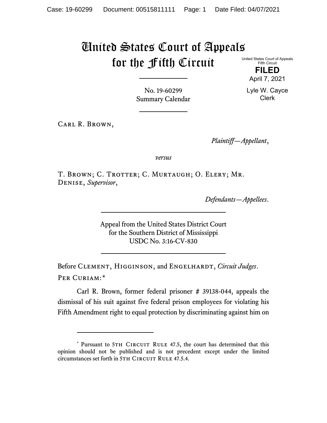## United States Court of Appeals for the Fifth Circuit

United States Court of Appeals Fifth Circuit

> **FILED** April 7, 2021

Lyle W. Cayce Clerk

No. 19-60299 Summary Calendar

Carl R. Brown,

*Plaintiff—Appellant*,

*versus*

T. BROWN; C. TROTTER; C. MURTAUGH; O. ELERY; MR. Denise, *Supervisor*,

*Defendants—Appellees*.

Appeal from the United States District Court for the Southern District of Mississippi USDC No. 3:16-CV-830

Before CLEMENT, HIGGINSON, and ENGELHARDT, *Circuit Judges*. Per Curiam:[\\*](#page-0-0)

Carl R. Brown, former federal prisoner # 39138-044, appeals the dismissal of his suit against five federal prison employees for violating his Fifth Amendment right to equal protection by discriminating against him on

<span id="page-0-0"></span><sup>\*</sup> Pursuant to 5TH CIRCUIT RULE 47.5, the court has determined that this opinion should not be published and is not precedent except under the limited circumstances set forth in 5TH CIRCUIT RULE 47.5.4.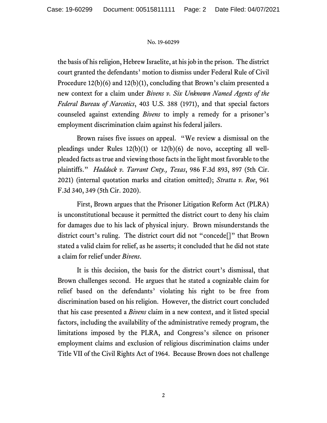## No. 19-60299

the basis of his religion, Hebrew Israelite, at his job in the prison. The district court granted the defendants' motion to dismiss under Federal Rule of Civil Procedure 12(b)(6) and 12(b)(1), concluding that Brown's claim presented a new context for a claim under *Bivens v. Six Unknown Named Agents of the Federal Bureau of Narcotics*, 403 U.S. 388 (1971), and that special factors counseled against extending *Bivens* to imply a remedy for a prisoner's employment discrimination claim against his federal jailers.

Brown raises five issues on appeal. "We review a dismissal on the pleadings under Rules 12(b)(1) or 12(b)(6) de novo, accepting all wellpleaded facts as true and viewing those facts in the light most favorable to the plaintiffs." *Haddock v. Tarrant Cnty., Texas*, 986 F.3d 893, 897 (5th Cir. 2021) (internal quotation marks and citation omitted); *Stratta v. Roe*, 961 F.3d 340, 349 (5th Cir. 2020).

First, Brown argues that the Prisoner Litigation Reform Act (PLRA) is unconstitutional because it permitted the district court to deny his claim for damages due to his lack of physical injury. Brown misunderstands the district court's ruling. The district court did not "concede[]" that Brown stated a valid claim for relief, as he asserts; it concluded that he did not state a claim for relief under *Bivens*.

It is this decision, the basis for the district court's dismissal, that Brown challenges second. He argues that he stated a cognizable claim for relief based on the defendants' violating his right to be free from discrimination based on his religion. However, the district court concluded that his case presented a *Bivens* claim in a new context, and it listed special factors, including the availability of the administrative remedy program, the limitations imposed by the PLRA, and Congress's silence on prisoner employment claims and exclusion of religious discrimination claims under Title VII of the Civil Rights Act of 1964. Because Brown does not challenge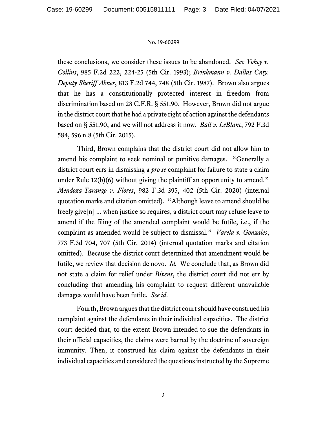## No. 19-60299

these conclusions, we consider these issues to be abandoned. *See Yohey v. Collins*, 985 F.2d 222, 224-25 (5th Cir. 1993); *Brinkmann v. Dallas Cnty. Deputy Sheriff Abner*, 813 F.2d 744, 748 (5th Cir. 1987). Brown also argues that he has a constitutionally protected interest in freedom from discrimination based on 28 C.F.R. § 551.90. However, Brown did not argue in the district court that he had a private right of action against the defendants based on § 551.90, and we will not address it now. *Ball v. LeBlanc*, 792 F.3d 584, 596 n.8 (5th Cir. 2015).

Third, Brown complains that the district court did not allow him to amend his complaint to seek nominal or punitive damages. "Generally a district court errs in dismissing a *pro se* complaint for failure to state a claim under Rule 12(b)(6) without giving the plaintiff an opportunity to amend." *Mendoza-Tarango v. Flores*, 982 F.3d 395, 402 (5th Cir. 2020) (internal quotation marks and citation omitted). "Although leave to amend should be freely give[n] ... when justice so requires, a district court may refuse leave to amend if the filing of the amended complaint would be futile, i.e., if the complaint as amended would be subject to dismissal." *Varela v. Gonzales*, 773 F.3d 704, 707 (5th Cir. 2014) (internal quotation marks and citation omitted). Because the district court determined that amendment would be futile, we review that decision de novo. *Id.* We conclude that, as Brown did not state a claim for relief under *Bivens*, the district court did not err by concluding that amending his complaint to request different unavailable damages would have been futile. *See id*.

Fourth, Brown argues that the district court should have construed his complaint against the defendants in their individual capacities. The district court decided that, to the extent Brown intended to sue the defendants in their official capacities, the claims were barred by the doctrine of sovereign immunity. Then, it construed his claim against the defendants in their individual capacities and considered the questions instructed by the Supreme